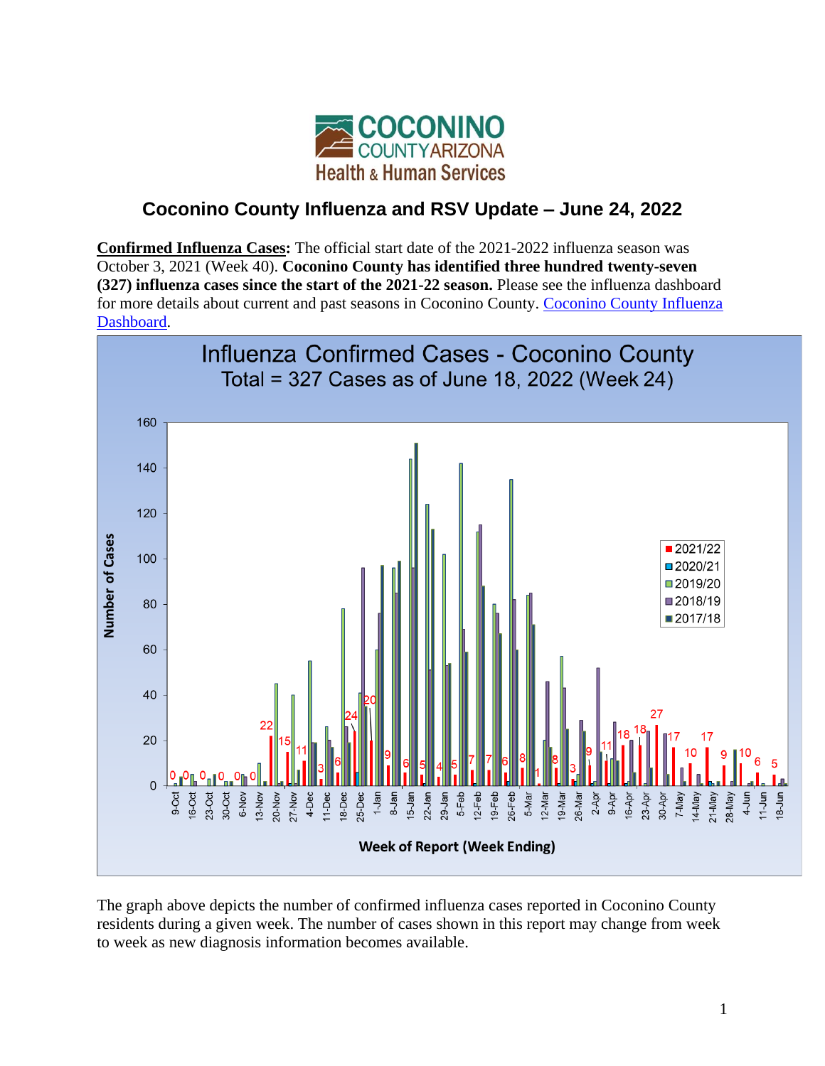

## **Coconino County Influenza and RSV Update – June 24, 2022**

**Confirmed Influenza Cases:** The official start date of the 2021-2022 influenza season was October 3, 2021 (Week 40). **Coconino County has identified three hundred twenty-seven (327) influenza cases since the start of the 2021-22 season.** Please see the influenza dashboard for more details about current and past seasons in Coconino County. [Coconino County Influenza](https://insight-editor.livestories.com/s/v2/coconino-county-influenza-dashboard/7778602d-1658-4aa3-9f24-175d39082dcd)  [Dashboard.](https://insight-editor.livestories.com/s/v2/coconino-county-influenza-dashboard/7778602d-1658-4aa3-9f24-175d39082dcd)



The graph above depicts the number of confirmed influenza cases reported in Coconino County residents during a given week. The number of cases shown in this report may change from week to week as new diagnosis information becomes available.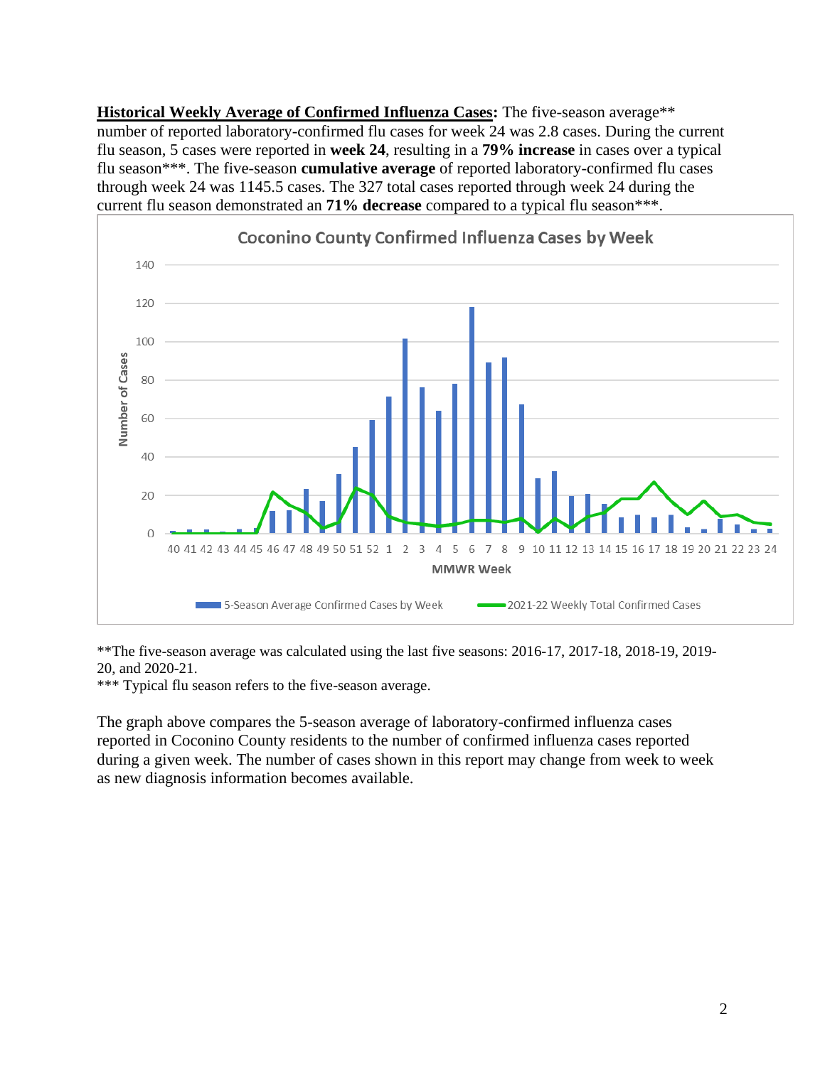**Historical Weekly Average of Confirmed Influenza Cases:** The five-season average\*\* number of reported laboratory-confirmed flu cases for week 24 was 2.8 cases. During the current flu season, 5 cases were reported in **week 24**, resulting in a **79% increase** in cases over a typical flu season\*\*\*. The five-season **cumulative average** of reported laboratory-confirmed flu cases through week 24 was 1145.5 cases. The 327 total cases reported through week 24 during the current flu season demonstrated an **71% decrease** compared to a typical flu season\*\*\*.



\*\*The five-season average was calculated using the last five seasons: 2016-17, 2017-18, 2018-19, 2019- 20, and 2020-21.

\*\*\* Typical flu season refers to the five-season average.

The graph above compares the 5-season average of laboratory-confirmed influenza cases reported in Coconino County residents to the number of confirmed influenza cases reported during a given week. The number of cases shown in this report may change from week to week as new diagnosis information becomes available.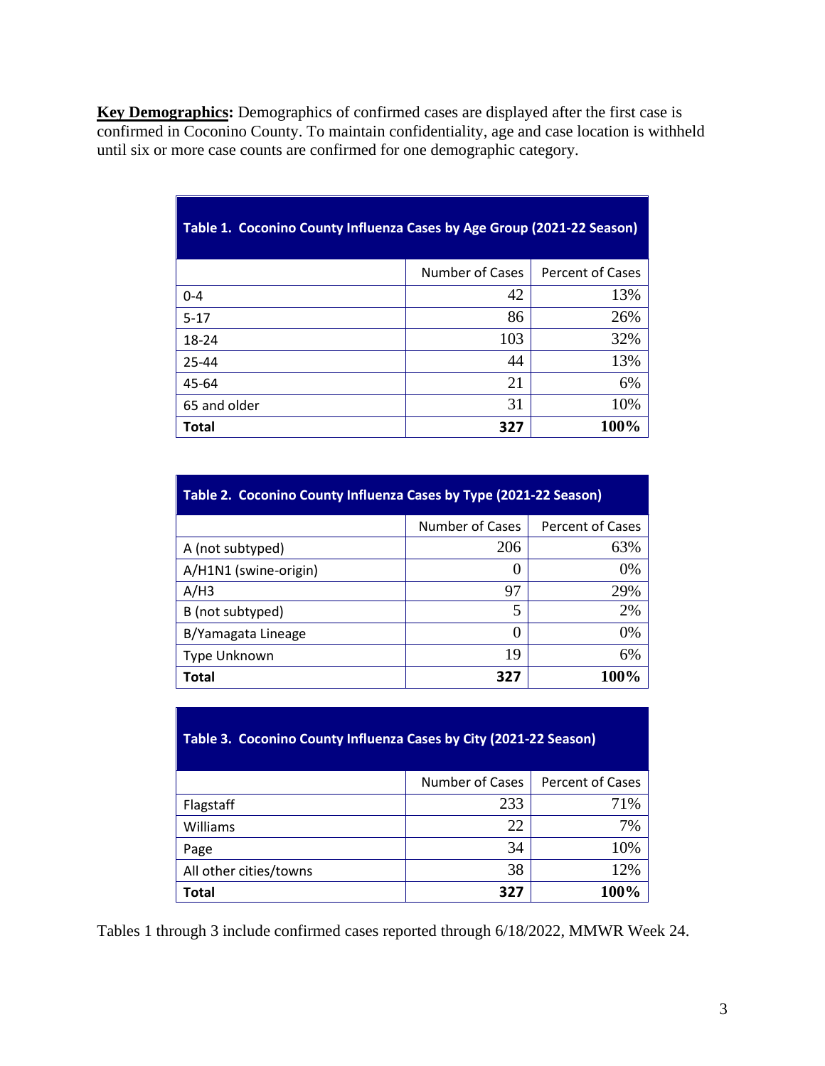**Key Demographics:** Demographics of confirmed cases are displayed after the first case is confirmed in Coconino County. To maintain confidentiality, age and case location is withheld until six or more case counts are confirmed for one demographic category.

| _______      | $\frac{1}{2}$ $\frac{1}{2}$ $\frac{1}{2}$ $\frac{1}{2}$ $\frac{1}{2}$ $\frac{1}{2}$ $\frac{1}{2}$ $\frac{1}{2}$ $\frac{1}{2}$ $\frac{1}{2}$ $\frac{1}{2}$ $\frac{1}{2}$ $\frac{1}{2}$ $\frac{1}{2}$ $\frac{1}{2}$ $\frac{1}{2}$ $\frac{1}{2}$ $\frac{1}{2}$ $\frac{1}{2}$ $\frac{1}{2}$ $\frac{1}{2}$ $\frac{1}{2}$ |                         |
|--------------|---------------------------------------------------------------------------------------------------------------------------------------------------------------------------------------------------------------------------------------------------------------------------------------------------------------------|-------------------------|
|              | Number of Cases                                                                                                                                                                                                                                                                                                     | <b>Percent of Cases</b> |
| $0 - 4$      | 42                                                                                                                                                                                                                                                                                                                  | 13%                     |
| $5 - 17$     | 86                                                                                                                                                                                                                                                                                                                  | 26%                     |
| 18-24        | 103                                                                                                                                                                                                                                                                                                                 | 32%                     |
| 25-44        | 44                                                                                                                                                                                                                                                                                                                  | 13%                     |
| 45-64        | 21                                                                                                                                                                                                                                                                                                                  | 6%                      |
| 65 and older | 31                                                                                                                                                                                                                                                                                                                  | 10%                     |
| <b>Total</b> | 327                                                                                                                                                                                                                                                                                                                 | 100%                    |

## **Table 1. Coconino County Influenza Cases by Age Group (2021-22 Season)**

| Table 2. Coconino County Influenza Cases by Type (2021-22 Season) |                  |                         |  |
|-------------------------------------------------------------------|------------------|-------------------------|--|
|                                                                   | Number of Cases  | <b>Percent of Cases</b> |  |
| A (not subtyped)                                                  | 206              | 63%                     |  |
| A/H1N1 (swine-origin)                                             |                  | 0%                      |  |
| A/H3                                                              | 97               | 29%                     |  |
| B (not subtyped)                                                  | 5                | 2%                      |  |
| B/Yamagata Lineage                                                | $\left( \right)$ | 0%                      |  |
| Type Unknown                                                      | 19               | 6%                      |  |
| Total                                                             | 327              | 100%                    |  |

## **Table 3. Coconino County Influenza Cases by City (2021-22 Season)**

|                        | Number of Cases | <b>Percent of Cases</b> |
|------------------------|-----------------|-------------------------|
| Flagstaff              | 233             | 71%                     |
| Williams               | 22              | 7%                      |
| Page                   | 34              | 10%                     |
| All other cities/towns | 38              | 12%                     |
| <b>Total</b>           | 327             | 100%                    |

Tables 1 through 3 include confirmed cases reported through 6/18/2022, MMWR Week 24.